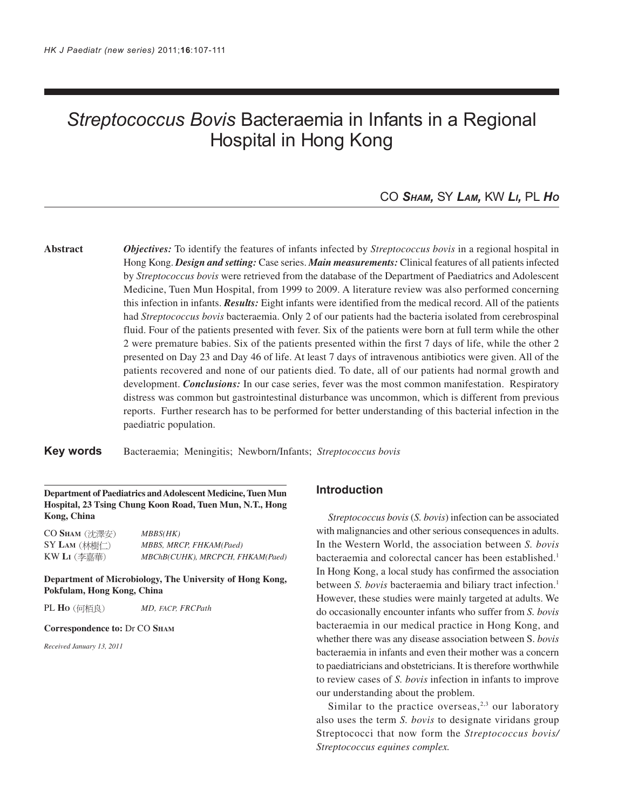# *Streptococcus Bovis* Bacteraemia in Infants in a Regional Hospital in Hong Kong

# CO *SHAM,* SY *LAM,* KW *LI,* PL *HO*

**Abstract** *Objectives:* To identify the features of infants infected by *Streptococcus bovis* in a regional hospital in Hong Kong. *Design and setting:* Case series. *Main measurements:* Clinical features of all patients infected by *Streptococcus bovis* were retrieved from the database of the Department of Paediatrics and Adolescent Medicine, Tuen Mun Hospital, from 1999 to 2009. A literature review was also performed concerning this infection in infants. *Results:* Eight infants were identified from the medical record. All of the patients had *Streptococcus bovis* bacteraemia. Only 2 of our patients had the bacteria isolated from cerebrospinal fluid. Four of the patients presented with fever. Six of the patients were born at full term while the other 2 were premature babies. Six of the patients presented within the first 7 days of life, while the other 2 presented on Day 23 and Day 46 of life. At least 7 days of intravenous antibiotics were given. All of the patients recovered and none of our patients died. To date, all of our patients had normal growth and development. *Conclusions:* In our case series, fever was the most common manifestation. Respiratory distress was common but gastrointestinal disturbance was uncommon, which is different from previous reports. Further research has to be performed for better understanding of this bacterial infection in the paediatric population.

**Key words** Bacteraemia; Meningitis; Newborn/Infants; *Streptococcus bovis*

## **Department of Paediatrics and Adolescent Medicine, Tuen Mun Hospital, 23 Tsing Chung Koon Road, Tuen Mun, N.T., Hong Kong, China**

CO SHAM (沈澤安) MBBS(HK) SY LAM (林樹仁) MBBS, MRCP, FHKAM(Paed) KW **LI** *MBChB(CUHK), MRCPCH, FHKAM(Paed)*

**Department of Microbiology, The University of Hong Kong, Pokfulam, Hong Kong, China**

PL **HO** *MD, FACP, FRCPath*

#### **Correspondence to:** Dr CO **SHAM**

*Received January 13, 2011*

## **Introduction**

*Streptococcus bovis* (*S. bovis*) infection can be associated with malignancies and other serious consequences in adults. In the Western World, the association between *S. bovis* bacteraemia and colorectal cancer has been established.<sup>1</sup> In Hong Kong, a local study has confirmed the association between *S. bovis* bacteraemia and biliary tract infection.<sup>1</sup> However, these studies were mainly targeted at adults. We do occasionally encounter infants who suffer from *S. bovis* bacteraemia in our medical practice in Hong Kong, and whether there was any disease association between S. *bovis* bacteraemia in infants and even their mother was a concern to paediatricians and obstetricians. It is therefore worthwhile to review cases of *S. bovis* infection in infants to improve our understanding about the problem.

Similar to the practice overseas, $2,3$  our laboratory also uses the term *S. bovis* to designate viridans group Streptococci that now form the *Streptococcus bovis/ Streptococcus equines complex.*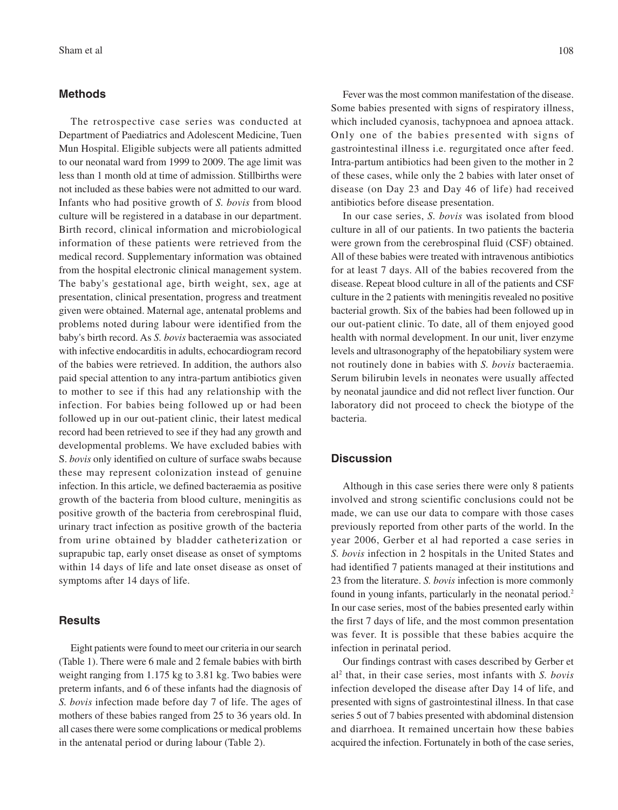#### **Methods**

The retrospective case series was conducted at Department of Paediatrics and Adolescent Medicine, Tuen Mun Hospital. Eligible subjects were all patients admitted to our neonatal ward from 1999 to 2009. The age limit was less than 1 month old at time of admission. Stillbirths were not included as these babies were not admitted to our ward. Infants who had positive growth of *S. bovis* from blood culture will be registered in a database in our department. Birth record, clinical information and microbiological information of these patients were retrieved from the medical record. Supplementary information was obtained from the hospital electronic clinical management system. The baby's gestational age, birth weight, sex, age at presentation, clinical presentation, progress and treatment given were obtained. Maternal age, antenatal problems and problems noted during labour were identified from the baby's birth record. As *S. bovis* bacteraemia was associated with infective endocarditis in adults, echocardiogram record of the babies were retrieved. In addition, the authors also paid special attention to any intra-partum antibiotics given to mother to see if this had any relationship with the infection. For babies being followed up or had been followed up in our out-patient clinic, their latest medical record had been retrieved to see if they had any growth and developmental problems. We have excluded babies with S. *bovis* only identified on culture of surface swabs because these may represent colonization instead of genuine infection. In this article, we defined bacteraemia as positive growth of the bacteria from blood culture, meningitis as positive growth of the bacteria from cerebrospinal fluid, urinary tract infection as positive growth of the bacteria from urine obtained by bladder catheterization or suprapubic tap, early onset disease as onset of symptoms within 14 days of life and late onset disease as onset of symptoms after 14 days of life.

#### **Results**

Eight patients were found to meet our criteria in our search (Table 1). There were 6 male and 2 female babies with birth weight ranging from 1.175 kg to 3.81 kg. Two babies were preterm infants, and 6 of these infants had the diagnosis of *S. bovis* infection made before day 7 of life. The ages of mothers of these babies ranged from 25 to 36 years old. In all cases there were some complications or medical problems in the antenatal period or during labour (Table 2).

Fever was the most common manifestation of the disease. Some babies presented with signs of respiratory illness, which included cyanosis, tachypnoea and apnoea attack. Only one of the babies presented with signs of gastrointestinal illness i.e. regurgitated once after feed. Intra-partum antibiotics had been given to the mother in 2 of these cases, while only the 2 babies with later onset of disease (on Day 23 and Day 46 of life) had received antibiotics before disease presentation.

In our case series, *S. bovis* was isolated from blood culture in all of our patients. In two patients the bacteria were grown from the cerebrospinal fluid (CSF) obtained. All of these babies were treated with intravenous antibiotics for at least 7 days. All of the babies recovered from the disease. Repeat blood culture in all of the patients and CSF culture in the 2 patients with meningitis revealed no positive bacterial growth. Six of the babies had been followed up in our out-patient clinic. To date, all of them enjoyed good health with normal development. In our unit, liver enzyme levels and ultrasonography of the hepatobiliary system were not routinely done in babies with *S. bovis* bacteraemia. Serum bilirubin levels in neonates were usually affected by neonatal jaundice and did not reflect liver function. Our laboratory did not proceed to check the biotype of the bacteria.

## **Discussion**

Although in this case series there were only 8 patients involved and strong scientific conclusions could not be made, we can use our data to compare with those cases previously reported from other parts of the world. In the year 2006, Gerber et al had reported a case series in *S. bovis* infection in 2 hospitals in the United States and had identified 7 patients managed at their institutions and 23 from the literature. *S. bovis* infection is more commonly found in young infants, particularly in the neonatal period.<sup>2</sup> In our case series, most of the babies presented early within the first 7 days of life, and the most common presentation was fever. It is possible that these babies acquire the infection in perinatal period.

Our findings contrast with cases described by Gerber et al2 that, in their case series, most infants with *S. bovis* infection developed the disease after Day 14 of life, and presented with signs of gastrointestinal illness. In that case series 5 out of 7 babies presented with abdominal distension and diarrhoea. It remained uncertain how these babies acquired the infection. Fortunately in both of the case series,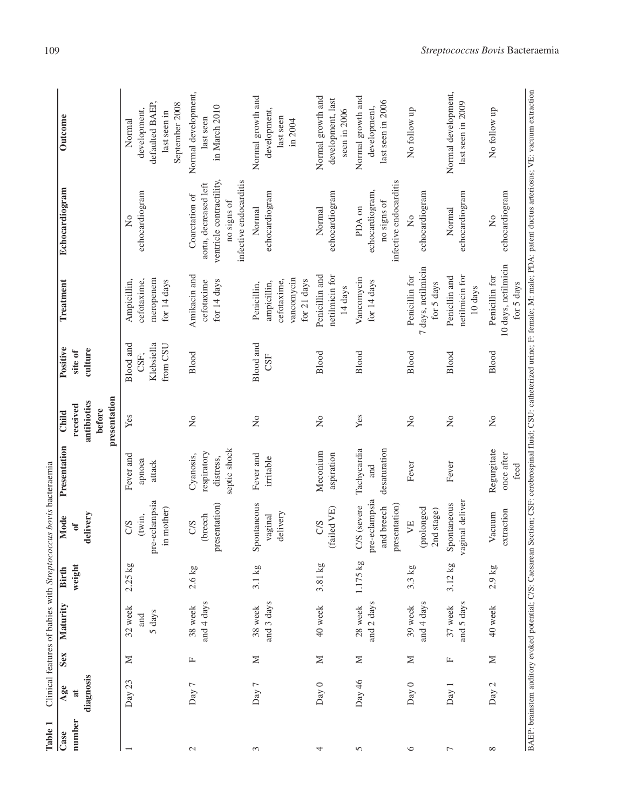| Table 1                  |                |              |                          |                    | Clinical features of babies with Streptococcus bovis bacteraemia |                                                       |                                       |                                                    |                                                                        |                                                                                                              |                                                                                                                                                                                                |
|--------------------------|----------------|--------------|--------------------------|--------------------|------------------------------------------------------------------|-------------------------------------------------------|---------------------------------------|----------------------------------------------------|------------------------------------------------------------------------|--------------------------------------------------------------------------------------------------------------|------------------------------------------------------------------------------------------------------------------------------------------------------------------------------------------------|
| Case                     | Age            | Sex          | Maturity                 | <b>Birth</b>       | Mode                                                             | Presentation                                          | Child                                 | Positive                                           | Treatment                                                              | Echocardiogram                                                                                               | Outcome                                                                                                                                                                                        |
| number                   | $\overline{a}$ |              |                          | weight             | $\sigma$                                                         |                                                       | received                              | site of                                            |                                                                        |                                                                                                              |                                                                                                                                                                                                |
|                          | diagnosis      |              |                          |                    | delivery                                                         |                                                       | presentation<br>antibiotics<br>before | culture                                            |                                                                        |                                                                                                              |                                                                                                                                                                                                |
| $\overline{\phantom{0}}$ | Day 23         | $\geq$       | 32 week<br>5 days<br>and | $2.25$ kg          | pre-eclampsia<br>in mother)<br>(twin,<br>C/S                     | Fever and<br>apnoea<br>attack                         | Yes                                   | <b>Blood</b> and<br>Klebsiella<br>from CSU<br>CSF: | meropenem<br>cefotaxime,<br>for 14 days<br>Ampicillin,                 | echocardiogram<br>$\overline{a}$                                                                             | defaulted BAEP,<br>September 2008<br>development,<br>last seen in<br>Normal                                                                                                                    |
| $\mathcal{L}$            | Day 7          | $\mathbb{L}$ | and 4 days<br>38 week    | $2.6$ kg           | presentation)<br>(breech<br>CS                                   | septic shock<br>respiratory<br>Cyanosis,<br>distress, | $\overline{a}$                        | Blood                                              | Amikacin and<br>for 14 days<br>cefotaxime                              | ventricle contractility,<br>infective endocarditis<br>aorta, decreased left<br>Coarctation of<br>no signs of | Normal development,<br>in March 2010<br>last seen                                                                                                                                              |
| 3                        | Day 7          | $\geq$       | and 3 days<br>38 week    | $3.1\,\mathrm{kg}$ | Spontaneous<br>delivery<br>vaginal                               | Fever and<br>irritable                                | $\overline{a}$                        | Blood and<br>CSF                                   | vancomycin<br>cefotaxime,<br>for 21 days<br>ampicillin,<br>Penicillin, | echocardiogram<br>Normal                                                                                     | Normal growth and<br>development,<br>last seen<br>in 2004                                                                                                                                      |
| 4                        | Day 0          | $\geq$       | 40 week                  | 3.81 kg            | (failed VE)<br>C/S                                               | Meconium<br>aspiration                                | $\tilde{z}$                           | Blood                                              | Penicillin and<br>netilmicin for<br>14 days                            | echocardiogram<br>Normal                                                                                     | Normal growth and<br>development, last<br>seen in 2006                                                                                                                                         |
| 5                        | Day 46         | $\geq$       | and 2 days<br>28 week    | $1.175$ kg         | pre-eclampsia<br>presentation)<br>C/S (severe<br>and breech      | Tachycardia<br>desaturation<br>and                    | Yes                                   | Blood                                              | Vancomycin<br>for 14 days                                              | infective endocarditis<br>echocardiogram,<br>no signs of<br>PDA on                                           | Normal growth and<br>last seen in 2006<br>development,                                                                                                                                         |
| $\circ$                  | Day 0          | $\geq$       | and 4 days<br>39 week    | 3.3 kg             | (prolonged<br>2nd stage)<br>YE                                   | Fever                                                 | $\overline{a}$                        | Blood                                              | 7 days, netilmicin<br>Penicillin for<br>for 5 days                     | echocardiogram<br>$\overline{\mathsf{X}}$                                                                    | No follow up                                                                                                                                                                                   |
| $\overline{ }$           | Day 1          | $\mathbb{L}$ | and 5 days<br>37 week    | $3.12$ kg          | vaginal deliver<br>Spontaneous                                   | Fever                                                 | $\overline{\mathsf{X}}$               | Blood                                              | netilmicin for<br>Penicllin and<br>10 days                             | echocardiogram<br>Normal                                                                                     | Normal development,<br>last seen in 2009                                                                                                                                                       |
| $\infty$                 | Day 2          | $\geq$       | 40 week                  | $2.9$ kg           | extraction<br>Vacuum                                             | Regurgitate<br>once after<br>feed                     | $\frac{1}{2}$                         | Blood                                              | 10 days, netilmicin<br>Penicillin for<br>for 5 days                    | echocardiogram<br>$\frac{1}{2}$                                                                              | No follow up                                                                                                                                                                                   |
|                          |                |              |                          |                    |                                                                  |                                                       |                                       |                                                    |                                                                        |                                                                                                              | BAEP: brainstem auditory evoked potential; C/S: Caesarean Section; CSF: cerebrospinal fluid; CSU: catheterized urine; F: female; M: male; PDA: patent ductus arteriosus; VE: vacuum extraction |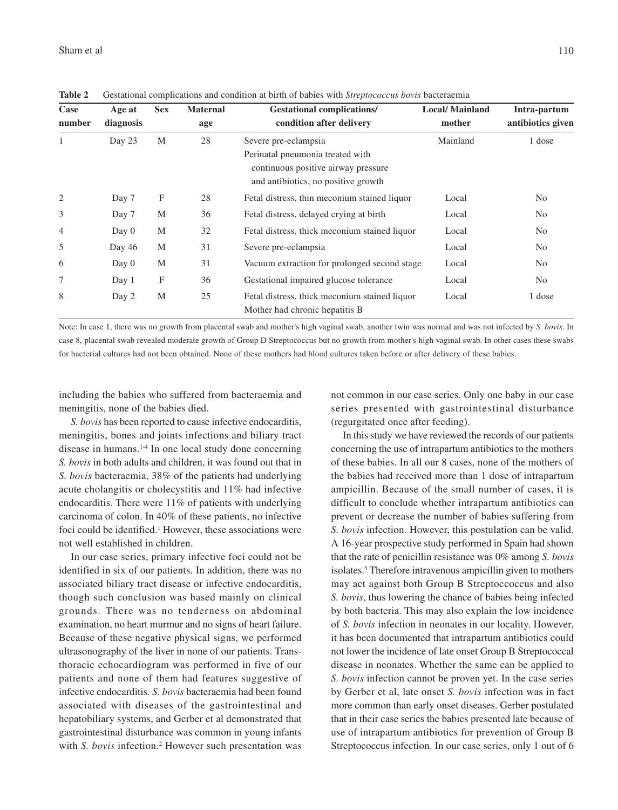| Case<br>number | Age at<br>diagnosis | <b>Sex</b> | <b>Maternal</b><br>age | <b>Gestational complications/</b><br>condition after delivery                                                                          | <b>Local/</b> Mainland<br>mother | Intra-partum<br>antibiotics given |
|----------------|---------------------|------------|------------------------|----------------------------------------------------------------------------------------------------------------------------------------|----------------------------------|-----------------------------------|
| 1              | Day 23              | M          | 28                     | Severe pre-eclampsia<br>Perinatal pneumonia treated with<br>continuous positive airway pressure<br>and antibiotics, no positive growth | Mainland                         | 1 dose                            |
| $\overline{2}$ | Day 7               | F          | 28                     | Fetal distress, thin meconium stained liquor                                                                                           | Local                            | N <sub>0</sub>                    |
| 3              | Day 7               | M          | 36                     | Fetal distress, delayed crying at birth                                                                                                | Local                            | N <sub>0</sub>                    |
| $\overline{4}$ | Day 0               | M          | 32                     | Fetal distress, thick meconium stained liquor                                                                                          | Local                            | N <sub>0</sub>                    |
| 5              | Day 46              | M          | 31                     | Severe pre-eclampsia                                                                                                                   | Local                            | N <sub>0</sub>                    |
| 6              | Day 0               | M          | 31                     | Vacuum extraction for prolonged second stage                                                                                           | Local                            | N <sub>0</sub>                    |
| 7              | Day 1               | F          | 36                     | Gestational impaired glucose tolerance                                                                                                 | Local                            | N <sub>0</sub>                    |
| 8              | Day 2               | M          | 25                     | Fetal distress, thick meconium stained liquor<br>Mother had chronic hepatitis B                                                        | Local                            | 1 dose                            |

**Table 2** Gestational complications and condition at birth of babies with *Streptococcus bovis* bacteraemia

Note: In case 1, there was no growth from placental swab and mother's high vaginal swab, another twin was normal and was not infected by *S. bovis*. In case 8, placental swab revealed moderate growth of Group D Streptococcus but no growth from mother's high vaginal swab. In other cases these swabs for bacterial cultures had not been obtained. None of these mothers had blood cultures taken before or after delivery of these babies.

including the babies who suffered from bacteraemia and meningitis, none of the babies died.

*S. bovis* has been reported to cause infective endocarditis, meningitis, bones and joints infections and biliary tract disease in humans.1-4 In one local study done concerning *S. bovis* in both adults and children, it was found out that in *S. bovis* bacteraemia, 38% of the patients had underlying acute cholangitis or cholecystitis and 11% had infective endocarditis. There were 11% of patients with underlying carcinoma of colon. In 40% of these patients, no infective foci could be identified.<sup>1</sup> However, these associations were not well established in children.

In our case series, primary infective foci could not be identified in six of our patients. In addition, there was no associated biliary tract disease or infective endocarditis, though such conclusion was based mainly on clinical grounds. There was no tenderness on abdominal examination, no heart murmur and no signs of heart failure. Because of these negative physical signs, we performed ultrasonography of the liver in none of our patients. Transthoracic echocardiogram was performed in five of our patients and none of them had features suggestive of infective endocarditis. *S. bovis* bacteraemia had been found associated with diseases of the gastrointestinal and hepatobiliary systems, and Gerber et al demonstrated that gastrointestinal disturbance was common in young infants with *S. bovis* infection.<sup>2</sup> However such presentation was

not common in our case series. Only one baby in our case series presented with gastrointestinal disturbance (regurgitated once after feeding).

In this study we have reviewed the records of our patients concerning the use of intrapartum antibiotics to the mothers of these babies. In all our 8 cases, none of the mothers of the babies had received more than 1 dose of intrapartum ampicillin. Because of the small number of cases, it is difficult to conclude whether intrapartum antibiotics can prevent or decrease the number of babies suffering from *S. bovis* infection. However, this postulation can be valid. A 16-year prospective study performed in Spain had shown that the rate of penicillin resistance was 0% among *S. bovis* isolates.<sup>5</sup> Therefore intravenous ampicillin given to mothers may act against both Group B Streptoccoccus and also *S. bovis*, thus lowering the chance of babies being infected by both bacteria. This may also explain the low incidence of *S. bovis* infection in neonates in our locality. However, it has been documented that intrapartum antibiotics could not lower the incidence of late onset Group B Streptococcal disease in neonates. Whether the same can be applied to *S. bovis* infection cannot be proven yet. In the case series by Gerber et al, late onset *S. bovis* infection was in fact more common than early onset diseases. Gerber postulated that in their case series the babies presented late because of use of intrapartum antibiotics for prevention of Group B Streptococcus infection. In our case series, only 1 out of 6